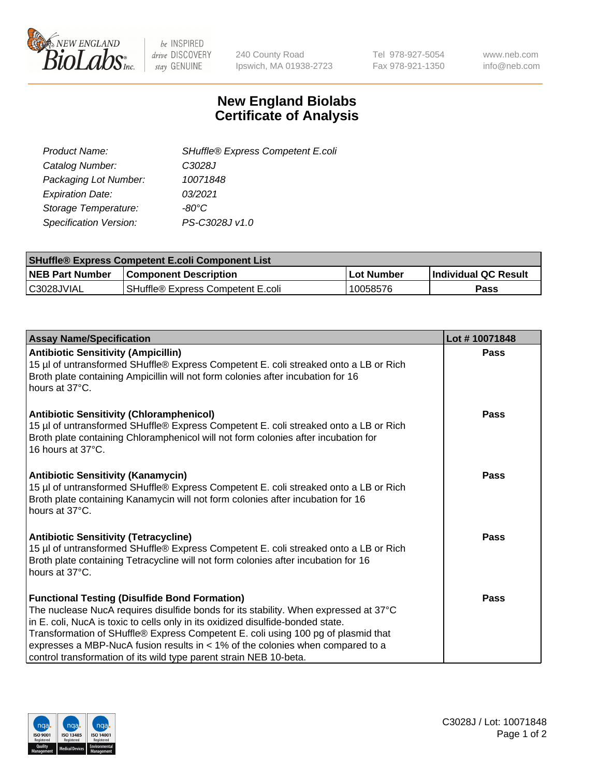

be INSPIRED drive DISCOVERY stay GENUINE

240 County Road Ipswich, MA 01938-2723 Tel 978-927-5054 Fax 978-921-1350 www.neb.com info@neb.com

## **New England Biolabs Certificate of Analysis**

| SHuffle® Express Competent E.coli |
|-----------------------------------|
| C3028J                            |
| 10071848                          |
| 03/2021                           |
| -80°C                             |
| PS-C3028J v1.0                    |
|                                   |

| <b>SHuffle® Express Competent E.coli Component List</b> |                                   |                   |                             |  |
|---------------------------------------------------------|-----------------------------------|-------------------|-----------------------------|--|
| <b>NEB Part Number</b>                                  | <b>Component Description</b>      | <b>Lot Number</b> | <b>Individual QC Result</b> |  |
| C3028JVIAL                                              | SHuffle® Express Competent E.coli | 10058576          | Pass                        |  |

| <b>Assay Name/Specification</b>                                                                                                                                                                                                                                                                                                                                                                                                                                                  | Lot #10071848 |
|----------------------------------------------------------------------------------------------------------------------------------------------------------------------------------------------------------------------------------------------------------------------------------------------------------------------------------------------------------------------------------------------------------------------------------------------------------------------------------|---------------|
| <b>Antibiotic Sensitivity (Ampicillin)</b><br>15 µl of untransformed SHuffle® Express Competent E. coli streaked onto a LB or Rich<br>Broth plate containing Ampicillin will not form colonies after incubation for 16<br>hours at 37°C.                                                                                                                                                                                                                                         | <b>Pass</b>   |
| <b>Antibiotic Sensitivity (Chloramphenicol)</b><br>15 µl of untransformed SHuffle® Express Competent E. coli streaked onto a LB or Rich<br>Broth plate containing Chloramphenicol will not form colonies after incubation for<br>16 hours at 37°C.                                                                                                                                                                                                                               | Pass          |
| <b>Antibiotic Sensitivity (Kanamycin)</b><br>15 µl of untransformed SHuffle® Express Competent E. coli streaked onto a LB or Rich<br>Broth plate containing Kanamycin will not form colonies after incubation for 16<br>hours at 37°C.                                                                                                                                                                                                                                           | <b>Pass</b>   |
| <b>Antibiotic Sensitivity (Tetracycline)</b><br>15 µl of untransformed SHuffle® Express Competent E. coli streaked onto a LB or Rich<br>Broth plate containing Tetracycline will not form colonies after incubation for 16<br>hours at 37°C.                                                                                                                                                                                                                                     | Pass          |
| <b>Functional Testing (Disulfide Bond Formation)</b><br>The nuclease NucA requires disulfide bonds for its stability. When expressed at 37°C<br>in E. coli, NucA is toxic to cells only in its oxidized disulfide-bonded state.<br>Transformation of SHuffle® Express Competent E. coli using 100 pg of plasmid that<br>expresses a MBP-NucA fusion results in $\lt$ 1% of the colonies when compared to a<br>control transformation of its wild type parent strain NEB 10-beta. | <b>Pass</b>   |